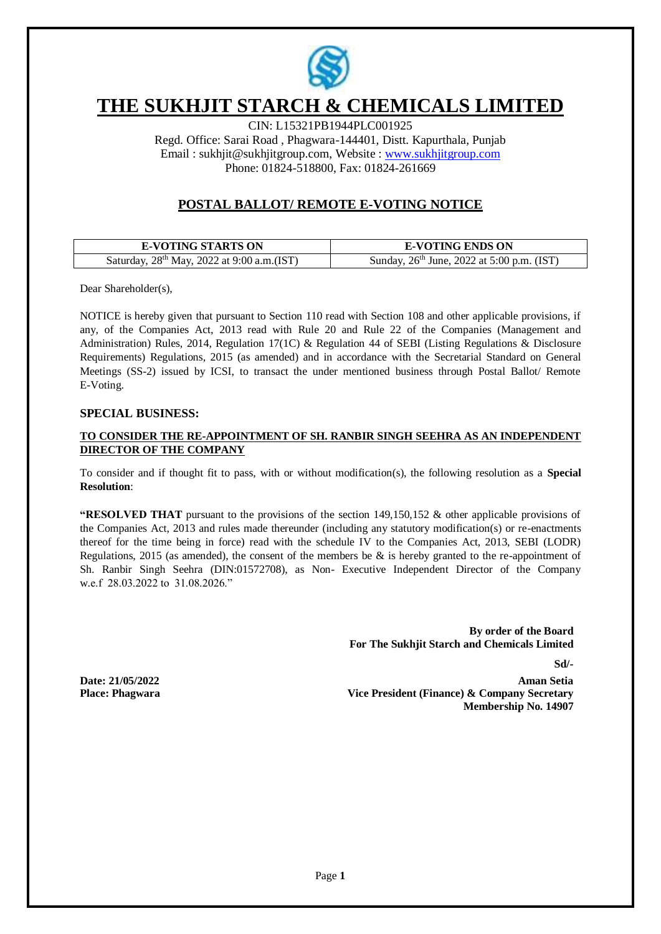

# **THE SUKHJIT STARCH & CHEMICALS LIMITED**

CIN: L15321PB1944PLC001925 Regd. Office: Sarai Road , Phagwara-144401, Distt. Kapurthala, Punjab Email : [sukhjit@sukhjitgroup.com,](mailto:sukhjit@sukhjitgroup.com) Website : [www.sukhjitgroup.com](http://www.sukhjitgroup.com/) Phone: 01824-518800, Fax: 01824-261669

# **POSTAL BALLOT/ REMOTE E-VOTING NOTICE**

| <b>E-VOTING STARTS ON</b>                              | <b>E-VOTING ENDS ON</b>                                |
|--------------------------------------------------------|--------------------------------------------------------|
| Saturday, 28 <sup>th</sup> May, 2022 at 9:00 a.m.(IST) | Sunday, 26 <sup>th</sup> June, 2022 at 5:00 p.m. (IST) |

Dear Shareholder(s),

NOTICE is hereby given that pursuant to Section 110 read with Section 108 and other applicable provisions, if any, of the Companies Act, 2013 read with Rule 20 and Rule 22 of the Companies (Management and Administration) Rules, 2014, Regulation 17(1C) & Regulation 44 of SEBI (Listing Regulations & Disclosure Requirements) Regulations, 2015 (as amended) and in accordance with the Secretarial Standard on General Meetings (SS-2) issued by ICSI, to transact the under mentioned business through Postal Ballot/ Remote E-Voting.

### **SPECIAL BUSINESS:**

# **TO CONSIDER THE RE-APPOINTMENT OF SH. RANBIR SINGH SEEHRA AS AN INDEPENDENT DIRECTOR OF THE COMPANY**

To consider and if thought fit to pass, with or without modification(s), the following resolution as a **Special Resolution**:

**"RESOLVED THAT** pursuant to the provisions of the section 149,150,152 & other applicable provisions of the Companies Act, 2013 and rules made thereunder (including any statutory modification(s) or re-enactments thereof for the time being in force) read with the schedule IV to the Companies Act, 2013, SEBI (LODR) Regulations, 2015 (as amended), the consent of the members be  $\&$  is hereby granted to the re-appointment of Sh. Ranbir Singh Seehra (DIN:01572708), as Non- Executive Independent Director of the Company w.e.f 28.03.2022 to 31.08.2026."

> **By order of the Board For The Sukhjit Starch and Chemicals Limited**

> > **Sd/-**

**Date: 21/05/2022 Place: Phagwara**

**Aman Setia Vice President (Finance) & Company Secretary Membership No. 14907**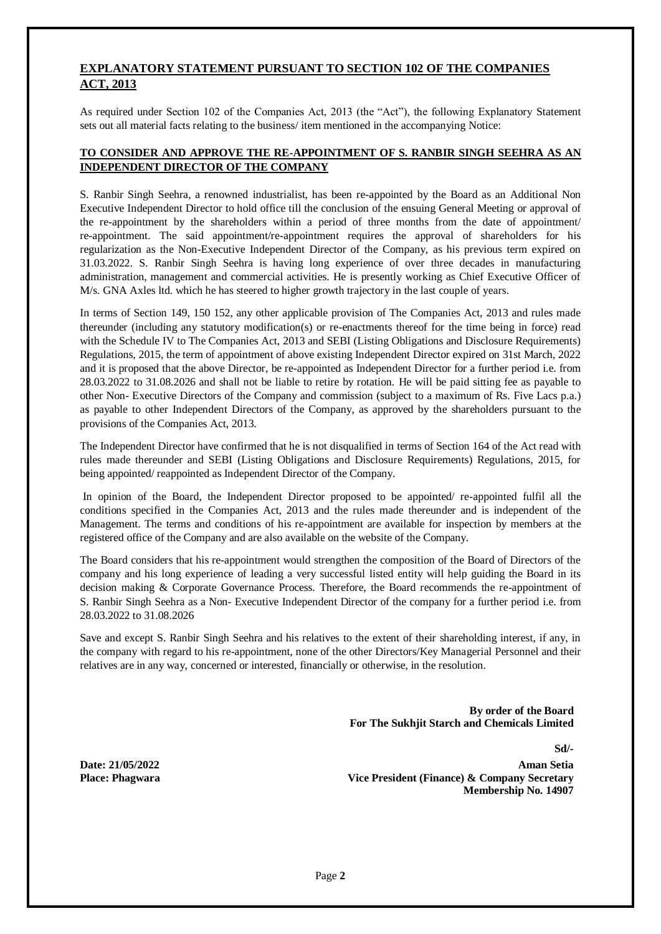# **EXPLANATORY STATEMENT PURSUANT TO SECTION 102 OF THE COMPANIES ACT, 2013**

As required under Section 102 of the Companies Act, 2013 (the "Act"), the following Explanatory Statement sets out all material facts relating to the business/ item mentioned in the accompanying Notice:

# **TO CONSIDER AND APPROVE THE RE-APPOINTMENT OF S. RANBIR SINGH SEEHRA AS AN INDEPENDENT DIRECTOR OF THE COMPANY**

S. Ranbir Singh Seehra, a renowned industrialist, has been re-appointed by the Board as an Additional Non Executive Independent Director to hold office till the conclusion of the ensuing General Meeting or approval of the re-appointment by the shareholders within a period of three months from the date of appointment/ re-appointment. The said appointment/re-appointment requires the approval of shareholders for his regularization as the Non-Executive Independent Director of the Company, as his previous term expired on 31.03.2022. S. Ranbir Singh Seehra is having long experience of over three decades in manufacturing administration, management and commercial activities. He is presently working as Chief Executive Officer of M/s. GNA Axles ltd. which he has steered to higher growth trajectory in the last couple of years.

In terms of Section 149, 150 152, any other applicable provision of The Companies Act, 2013 and rules made thereunder (including any statutory modification(s) or re-enactments thereof for the time being in force) read with the Schedule IV to The Companies Act, 2013 and SEBI (Listing Obligations and Disclosure Requirements) Regulations, 2015, the term of appointment of above existing Independent Director expired on 31st March, 2022 and it is proposed that the above Director, be re-appointed as Independent Director for a further period i.e. from 28.03.2022 to 31.08.2026 and shall not be liable to retire by rotation. He will be paid sitting fee as payable to other Non- Executive Directors of the Company and commission (subject to a maximum of Rs. Five Lacs p.a.) as payable to other Independent Directors of the Company, as approved by the shareholders pursuant to the provisions of the Companies Act, 2013.

The Independent Director have confirmed that he is not disqualified in terms of Section 164 of the Act read with rules made thereunder and SEBI (Listing Obligations and Disclosure Requirements) Regulations, 2015, for being appointed/ reappointed as Independent Director of the Company.

In opinion of the Board, the Independent Director proposed to be appointed/ re-appointed fulfil all the conditions specified in the Companies Act, 2013 and the rules made thereunder and is independent of the Management. The terms and conditions of his re-appointment are available for inspection by members at the registered office of the Company and are also available on the website of the Company.

The Board considers that his re-appointment would strengthen the composition of the Board of Directors of the company and his long experience of leading a very successful listed entity will help guiding the Board in its decision making & Corporate Governance Process. Therefore, the Board recommends the re-appointment of S. Ranbir Singh Seehra as a Non- Executive Independent Director of the company for a further period i.e. from 28.03.2022 to 31.08.2026

Save and except S. Ranbir Singh Seehra and his relatives to the extent of their shareholding interest, if any, in the company with regard to his re-appointment, none of the other Directors/Key Managerial Personnel and their relatives are in any way, concerned or interested, financially or otherwise, in the resolution.

> **By order of the Board For The Sukhjit Starch and Chemicals Limited**

**Date: 21/05/2022 Place: Phagwara** **Sd/-**

**Aman Setia Vice President (Finance) & Company Secretary Membership No. 14907**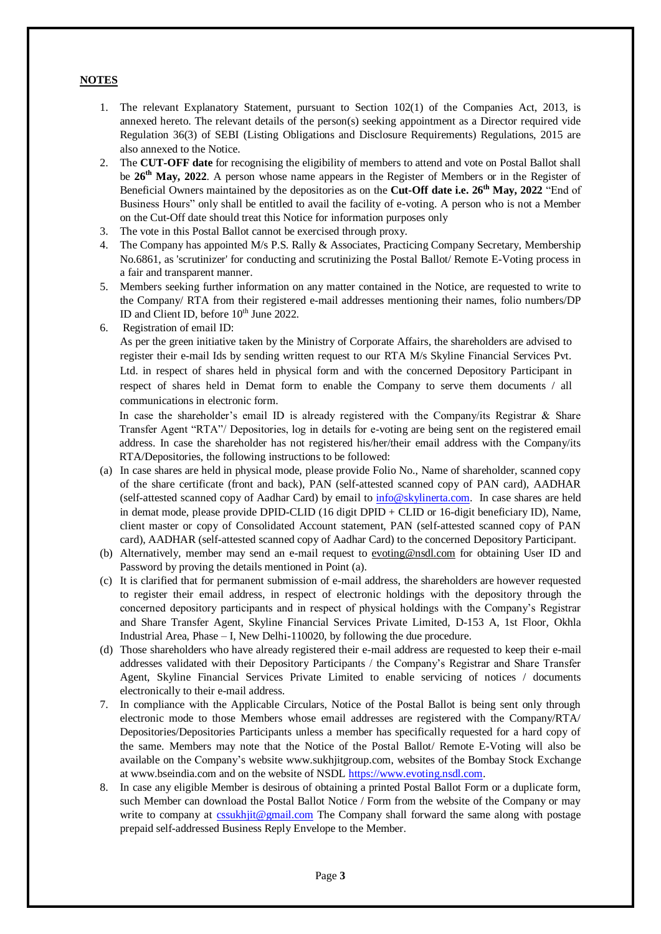# **NOTES**

- 1. The relevant Explanatory Statement, pursuant to Section 102(1) of the Companies Act, 2013, is annexed hereto. The relevant details of the person(s) seeking appointment as a Director required vide Regulation 36(3) of SEBI (Listing Obligations and Disclosure Requirements) Regulations, 2015 are also annexed to the Notice.
- 2. The **CUT-OFF date** for recognising the eligibility of members to attend and vote on Postal Ballot shall be **26th May, 2022**. A person whose name appears in the Register of Members or in the Register of Beneficial Owners maintained by the depositories as on the **Cut-Off date i.e. 26 th May, 2022** "End of Business Hours" only shall be entitled to avail the facility of e-voting. A person who is not a Member on the Cut-Off date should treat this Notice for information purposes only
- 3. The vote in this Postal Ballot cannot be exercised through proxy.
- 4. The Company has appointed M/s P.S. Rally & Associates, Practicing Company Secretary, Membership No.6861, as 'scrutinizer' for conducting and scrutinizing the Postal Ballot/ Remote E-Voting process in a fair and transparent manner.
- 5. Members seeking further information on any matter contained in the Notice, are requested to write to the Company/ RTA from their registered e-mail addresses mentioning their names, folio numbers/DP ID and Client ID, before 10<sup>th</sup> June 2022.
- 6. Registration of email ID:

As per the green initiative taken by the Ministry of Corporate Affairs, the shareholders are advised to register their e-mail Ids by sending written request to our RTA M/s Skyline Financial Services Pvt. Ltd. in respect of shares held in physical form and with the concerned Depository Participant in respect of shares held in Demat form to enable the Company to serve them documents / all communications in electronic form.

In case the shareholder's email ID is already registered with the Company/its Registrar & Share Transfer Agent "RTA"/ Depositories, log in details for e-voting are being sent on the registered email address. In case the shareholder has not registered his/her/their email address with the Company/its RTA/Depositories, the following instructions to be followed:

- (a) In case shares are held in physical mode, please provide Folio No., Name of shareholder, scanned copy of the share certificate (front and back), PAN (self-attested scanned copy of PAN card), AADHAR (self-attested scanned copy of Aadhar Card) by email to [info@skylinerta.com.](mailto:info@skylinerta.com) In case shares are held in demat mode, please provide DPID-CLID (16 digit DPID + CLID or 16-digit beneficiary ID), Name, client master or copy of Consolidated Account statement, PAN (self-attested scanned copy of PAN card), AADHAR (self-attested scanned copy of Aadhar Card) to the concerned Depository Participant.
- (b) Alternatively, member may send an e-mail request to [evoting@nsdl.com](mailto:evoting@nsdl.com) for obtaining User ID and Password by proving the details mentioned in Point (a).
- (c) It is clarified that for permanent submission of e-mail address, the shareholders are however requested to register their email address, in respect of electronic holdings with the depository through the concerned depository participants and in respect of physical holdings with the Company's Registrar and Share Transfer Agent, Skyline Financial Services Private Limited, D-153 A, 1st Floor, Okhla Industrial Area, Phase – I, New Delhi-110020, by following the due procedure.
- (d) Those shareholders who have already registered their e-mail address are requested to keep their e-mail addresses validated with their Depository Participants / the Company's Registrar and Share Transfer Agent, Skyline Financial Services Private Limited to enable servicing of notices / documents electronically to their e-mail address.
- 7. In compliance with the Applicable Circulars, Notice of the Postal Ballot is being sent only through electronic mode to those Members whose email addresses are registered with the Company/RTA/ Depositories/Depositories Participants unless a member has specifically requested for a hard copy of the same. Members may note that the Notice of the Postal Ballot/ Remote E-Voting will also be available on the Company's website www.sukhjitgroup.com, websites of the Bombay Stock Exchange at www.bseindia.com and on the website of NSDL [https://www.evoting.nsdl.com.](https://www.evoting.nsdl.com/)
- 8. In case any eligible Member is desirous of obtaining a printed Postal Ballot Form or a duplicate form, such Member can download the Postal Ballot Notice / Form from the website of the Company or may write to company at [cssukhjit@gmail.com](mailto:cssukhjit@gmail.com) The Company shall forward the same along with postage prepaid self-addressed Business Reply Envelope to the Member.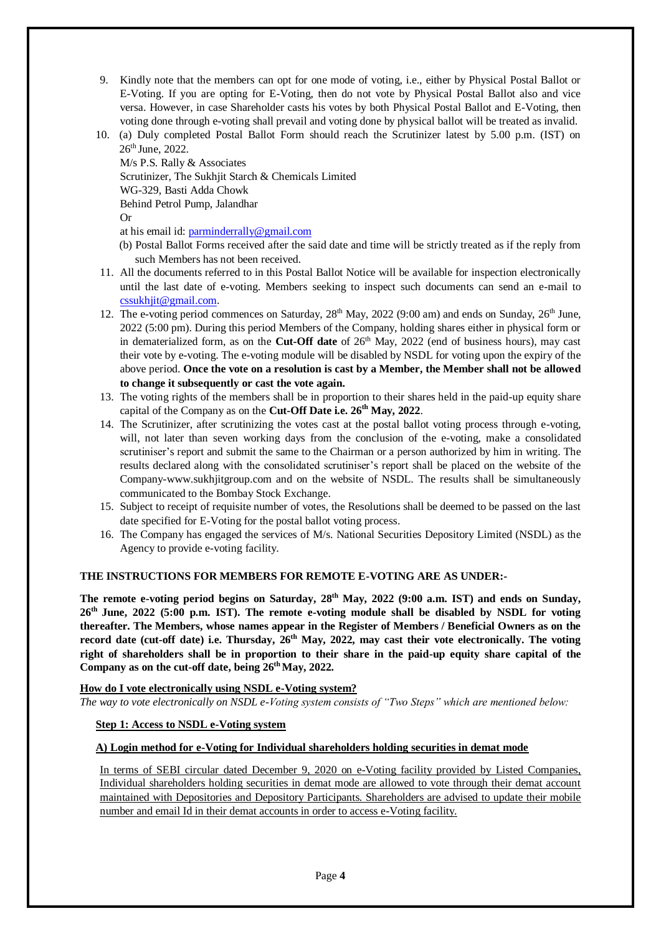- 9. Kindly note that the members can opt for one mode of voting, i.e., either by Physical Postal Ballot or E-Voting. If you are opting for E-Voting, then do not vote by Physical Postal Ballot also and vice versa. However, in case Shareholder casts his votes by both Physical Postal Ballot and E-Voting, then voting done through e-voting shall prevail and voting done by physical ballot will be treated as invalid.
- 10. (a) Duly completed Postal Ballot Form should reach the Scrutinizer latest by 5.00 p.m. (IST) on  $26<sup>th</sup>$  June, 2022.

M/s P.S. Rally & Associates Scrutinizer, The Sukhjit Starch & Chemicals Limited WG-329, Basti Adda Chowk Behind Petrol Pump, Jalandhar Or

at his email id[: parminderrally@gmail.com](mailto:parminderrally@gmail.com)

- (b) Postal Ballot Forms received after the said date and time will be strictly treated as if the reply from such Members has not been received.
- 11. All the documents referred to in this Postal Ballot Notice will be available for inspection electronically until the last date of e-voting. Members seeking to inspect such documents can send an e-mail to [cssukhjit@gmail.com.](mailto:cssukhjit@gmail.com)
- 12. The e-voting period commences on Saturday,  $28<sup>th</sup>$  May,  $2022$  (9:00 am) and ends on Sunday,  $26<sup>th</sup>$  June, 2022 (5:00 pm). During this period Members of the Company, holding shares either in physical form or in dematerialized form, as on the **Cut-Off date** of  $26<sup>th</sup>$  May, 2022 (end of business hours), may cast their vote by e-voting. The e-voting module will be disabled by NSDL for voting upon the expiry of the above period. **Once the vote on a resolution is cast by a Member, the Member shall not be allowed to change it subsequently or cast the vote again.**
- 13. The voting rights of the members shall be in proportion to their shares held in the paid-up equity share capital of the Company as on the **Cut-Off Date i.e. 26th May, 2022**.
- 14. The Scrutinizer, after scrutinizing the votes cast at the postal ballot voting process through e-voting, will, not later than seven working days from the conclusion of the e-voting, make a consolidated scrutiniser's report and submit the same to the Chairman or a person authorized by him in writing. The results declared along with the consolidated scrutiniser's report shall be placed on the website of the Company-www.sukhjitgroup.com and on the website of NSDL. The results shall be simultaneously communicated to the Bombay Stock Exchange.
- 15. Subject to receipt of requisite number of votes, the Resolutions shall be deemed to be passed on the last date specified for E-Voting for the postal ballot voting process.
- 16. The Company has engaged the services of M/s. National Securities Depository Limited (NSDL) as the Agency to provide e-voting facility.

# **THE INSTRUCTIONS FOR MEMBERS FOR REMOTE E-VOTING ARE AS UNDER:-**

The remote e-voting period begins on Saturday,  $28<sup>th</sup>$  May,  $2022$  (9:00 a.m. IST) and ends on Sunday, **26th June, 2022 (5:00 p.m. IST). The remote e-voting module shall be disabled by NSDL for voting thereafter. The Members, whose names appear in the Register of Members / Beneficial Owners as on the record date (cut-off date) i.e. Thursday, 26th May, 2022, may cast their vote electronically. The voting right of shareholders shall be in proportion to their share in the paid-up equity share capital of the Company as on the cut-off date, being 26 th May, 2022.**

**How do I vote electronically using NSDL e-Voting system?** *The way to vote electronically on NSDL e-Voting system consists of "Two Steps" which are mentioned below:*

#### **Step 1: Access to NSDL e-Voting system**

## **A) Login method for e-Voting for Individual shareholders holding securities in demat mode**

In terms of SEBI circular dated December 9, 2020 on e-Voting facility provided by Listed Companies, Individual shareholders holding securities in demat mode are allowed to vote through their demat account maintained with Depositories and Depository Participants. Shareholders are advised to update their mobile number and email Id in their demat accounts in order to access e-Voting facility.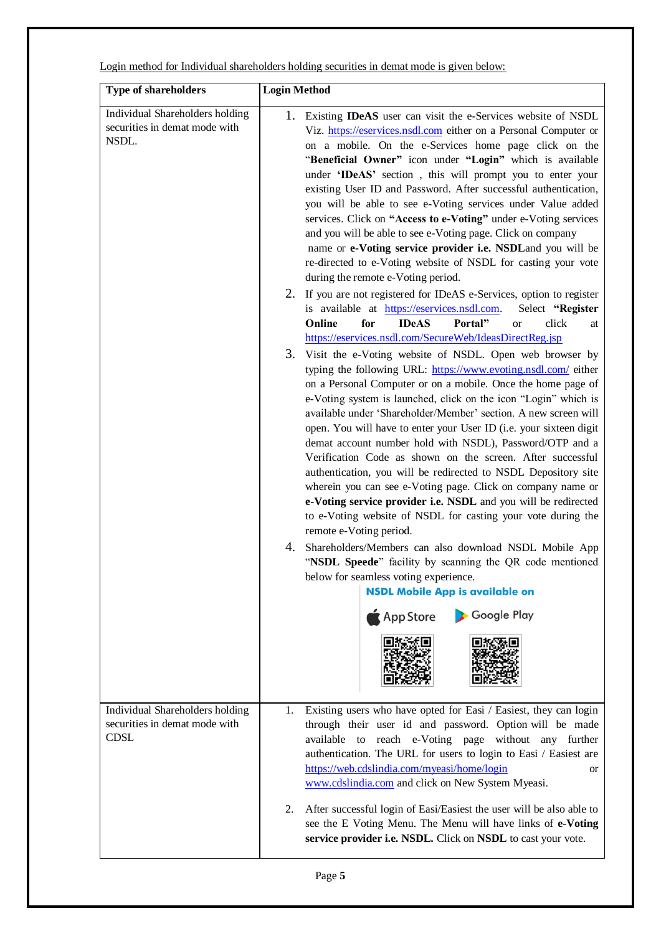Login method for Individual shareholders holding securities in demat mode is given below:

| <b>Type of shareholders</b>                                                     | <b>Login Method</b>                                                                                                                                                                                                                                                                                                                                                                                                                                                                                                                                                                                                                                                                                                                                                                                                                                                                                                                                                                                                                                                                                                                                                                                                                                                                                                                                                                                                                                                                                                                                                                                                                                                                                                                                                                                                                                                                                                                                                                                                                                                                                                                                   |
|---------------------------------------------------------------------------------|-------------------------------------------------------------------------------------------------------------------------------------------------------------------------------------------------------------------------------------------------------------------------------------------------------------------------------------------------------------------------------------------------------------------------------------------------------------------------------------------------------------------------------------------------------------------------------------------------------------------------------------------------------------------------------------------------------------------------------------------------------------------------------------------------------------------------------------------------------------------------------------------------------------------------------------------------------------------------------------------------------------------------------------------------------------------------------------------------------------------------------------------------------------------------------------------------------------------------------------------------------------------------------------------------------------------------------------------------------------------------------------------------------------------------------------------------------------------------------------------------------------------------------------------------------------------------------------------------------------------------------------------------------------------------------------------------------------------------------------------------------------------------------------------------------------------------------------------------------------------------------------------------------------------------------------------------------------------------------------------------------------------------------------------------------------------------------------------------------------------------------------------------------|
| Individual Shareholders holding<br>securities in demat mode with<br>NSDL.       | Existing <b>IDeAS</b> user can visit the e-Services website of NSDL<br>1.<br>Viz. https://eservices.nsdl.com either on a Personal Computer or<br>on a mobile. On the e-Services home page click on the<br>"Beneficial Owner" icon under "Login" which is available<br>under 'IDeAS' section, this will prompt you to enter your<br>existing User ID and Password. After successful authentication,<br>you will be able to see e-Voting services under Value added<br>services. Click on "Access to e-Voting" under e-Voting services<br>and you will be able to see e-Voting page. Click on company<br>name or e-Voting service provider i.e. NSDLand you will be<br>re-directed to e-Voting website of NSDL for casting your vote<br>during the remote e-Voting period.<br>2. If you are not registered for IDeAS e-Services, option to register<br>is available at https://eservices.nsdl.com.<br>Select "Register<br>Online<br>for<br><b>IDeAS</b><br>Portal"<br>click<br><b>or</b><br>at<br>https://eservices.nsdl.com/SecureWeb/IdeasDirectReg.jsp<br>3.<br>Visit the e-Voting website of NSDL. Open web browser by<br>typing the following URL: https://www.evoting.nsdl.com/ either<br>on a Personal Computer or on a mobile. Once the home page of<br>e-Voting system is launched, click on the icon "Login" which is<br>available under 'Shareholder/Member' section. A new screen will<br>open. You will have to enter your User ID (i.e. your sixteen digit<br>demat account number hold with NSDL), Password/OTP and a<br>Verification Code as shown on the screen. After successful<br>authentication, you will be redirected to NSDL Depository site<br>wherein you can see e-Voting page. Click on company name or<br>e-Voting service provider i.e. NSDL and you will be redirected<br>to e-Voting website of NSDL for casting your vote during the<br>remote e-Voting period.<br>4.<br>Shareholders/Members can also download NSDL Mobile App<br>"NSDL Speede" facility by scanning the QR code mentioned<br>below for seamless voting experience.<br><b>NSDL Mobile App is available on</b><br>Google Play<br>$\triangle$ App Store |
| Individual Shareholders holding<br>securities in demat mode with<br><b>CDSL</b> | Existing users who have opted for Easi / Easiest, they can login<br>1.<br>through their user id and password. Option will be made<br>reach e-Voting page without any further<br>available to<br>authentication. The URL for users to login to Easi / Easiest are<br>https://web.cdslindia.com/myeasi/home/login<br>or<br>www.cdslindia.com and click on New System Myeasi.<br>2.<br>After successful login of Easi/Easiest the user will be also able to<br>see the E Voting Menu. The Menu will have links of e-Voting<br>service provider i.e. NSDL. Click on NSDL to cast your vote.                                                                                                                                                                                                                                                                                                                                                                                                                                                                                                                                                                                                                                                                                                                                                                                                                                                                                                                                                                                                                                                                                                                                                                                                                                                                                                                                                                                                                                                                                                                                                               |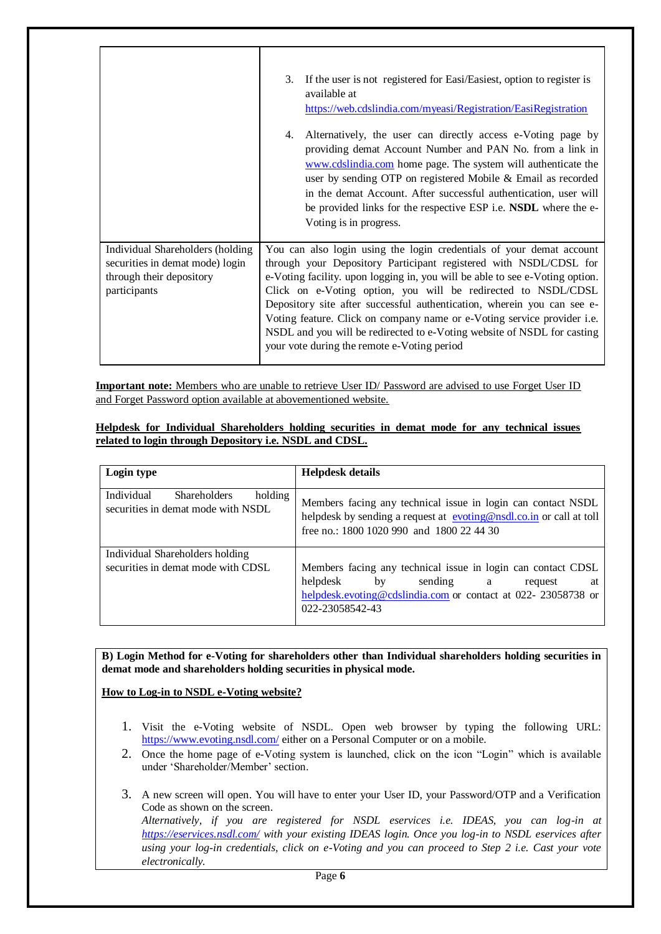|                                                                                                                 | If the user is not registered for Easi/Easiest, option to register is<br>3.<br>available at<br>https://web.cdslindia.com/myeasi/Registration/EasiRegistration<br>Alternatively, the user can directly access e-Voting page by<br>4.<br>providing demat Account Number and PAN No. from a link in<br>www.cdslindia.com home page. The system will authenticate the<br>user by sending OTP on registered Mobile & Email as recorded<br>in the demat Account. After successful authentication, user will<br>be provided links for the respective ESP i.e. NSDL where the e-<br>Voting is in progress. |
|-----------------------------------------------------------------------------------------------------------------|----------------------------------------------------------------------------------------------------------------------------------------------------------------------------------------------------------------------------------------------------------------------------------------------------------------------------------------------------------------------------------------------------------------------------------------------------------------------------------------------------------------------------------------------------------------------------------------------------|
| Individual Shareholders (holding<br>securities in demat mode) login<br>through their depository<br>participants | You can also login using the login credentials of your demat account<br>through your Depository Participant registered with NSDL/CDSL for<br>e-Voting facility. upon logging in, you will be able to see e-Voting option.<br>Click on e-Voting option, you will be redirected to NSDL/CDSL<br>Depository site after successful authentication, wherein you can see e-<br>Voting feature. Click on company name or e-Voting service provider i.e.<br>NSDL and you will be redirected to e-Voting website of NSDL for casting<br>your vote during the remote e-Voting period                         |

**Important note:** Members who are unable to retrieve User ID/ Password are advised to use Forget User ID and Forget Password option available at abovementioned website.

**Helpdesk for Individual Shareholders holding securities in demat mode for any technical issues related to login through Depository i.e. NSDL and CDSL.**

| Login type                                                                         | <b>Helpdesk details</b>                                                                                                                                                          |
|------------------------------------------------------------------------------------|----------------------------------------------------------------------------------------------------------------------------------------------------------------------------------|
| Individual<br><b>Shareholders</b><br>holding<br>securities in demat mode with NSDL | Members facing any technical issue in login can contact NSDL<br>helpdesk by sending a request at evoting@nsdl.co.in or call at toll<br>free no.: 1800 1020 990 and 1800 22 44 30 |
| Individual Shareholders holding                                                    |                                                                                                                                                                                  |
| securities in demat mode with CDSL                                                 | Members facing any technical issue in login can contact CDSL                                                                                                                     |
|                                                                                    | helpdesk<br>by<br>sending a<br>request<br>at                                                                                                                                     |
|                                                                                    | helpdesk.evoting@cdslindia.com or contact at 022-23058738 or                                                                                                                     |
|                                                                                    | 022-23058542-43                                                                                                                                                                  |
|                                                                                    |                                                                                                                                                                                  |

**B) Login Method for e-Voting for shareholders other than Individual shareholders holding securities in demat mode and shareholders holding securities in physical mode.**

**How to Log-in to NSDL e-Voting website?**

- 1. Visit the e-Voting website of NSDL. Open web browser by typing the following URL: <https://www.evoting.nsdl.com/> either on a Personal Computer or on a mobile.
- 2. Once the home page of e-Voting system is launched, click on the icon "Login" which is available under 'Shareholder/Member' section.
- 3. A new screen will open. You will have to enter your User ID, your Password/OTP and a Verification Code as shown on the screen. *Alternatively, if you are registered for NSDL eservices i.e. IDEAS, you can log-in at <https://eservices.nsdl.com/> with your existing IDEAS login. Once you log-in to NSDL eservices after using your log-in credentials, click on e-Voting and you can proceed to Step 2 i.e. Cast your vote electronically.*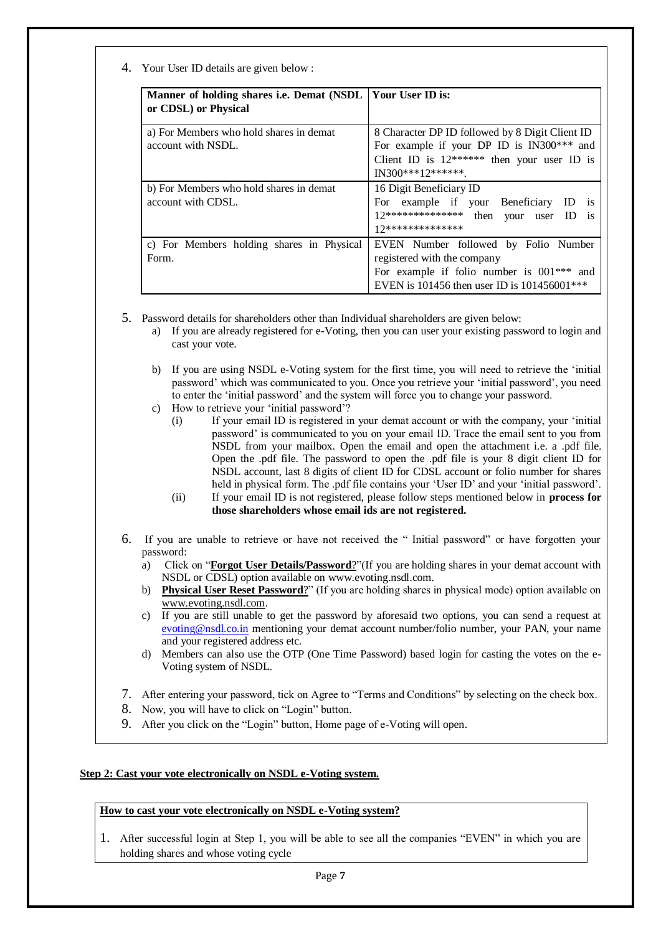4. Your User ID details are given below :

| Manner of holding shares i.e. Demat (NSDL)<br>or CDSL) or Physical | l Your User ID is:                                                                                                                                                 |
|--------------------------------------------------------------------|--------------------------------------------------------------------------------------------------------------------------------------------------------------------|
| a) For Members who hold shares in demat<br>account with NSDL.      | 8 Character DP ID followed by 8 Digit Client ID<br>For example if your DP ID is IN300*** and<br>Client ID is $12******$ then your user ID is<br>$IN300***12******$ |
| b) For Members who hold shares in demat<br>account with CDSL.      | 16 Digit Beneficiary ID<br>For example if your Beneficiary ID is<br>12************** then your user ID is<br>17**************                                      |
| c) For Members holding shares in Physical<br>Form.                 | EVEN Number followed by Folio Number<br>registered with the company<br>For example if folio number is $001***$ and<br>EVEN is 101456 then user ID is 101456001***  |

- 5. Password details for shareholders other than Individual shareholders are given below:
	- a) If you are already registered for e-Voting, then you can user your existing password to login and cast your vote.
	- b) If you are using NSDL e-Voting system for the first time, you will need to retrieve the 'initial password' which was communicated to you. Once you retrieve your 'initial password', you need to enter the 'initial password' and the system will force you to change your password.
	- c) How to retrieve your 'initial password'?
		- (i) If your email ID is registered in your demat account or with the company, your 'initial password' is communicated to you on your email ID. Trace the email sent to you from NSDL from your mailbox. Open the email and open the attachment i.e. a .pdf file. Open the .pdf file. The password to open the .pdf file is your 8 digit client ID for NSDL account, last 8 digits of client ID for CDSL account or folio number for shares held in physical form. The .pdf file contains your 'User ID' and your 'initial password'.
		- (ii) If your email ID is not registered, please follow steps mentioned below in **process for those shareholders whose email ids are not registered.**
- 6. If you are unable to retrieve or have not received the " Initial password" or have forgotten your password:
	- a) Click on "**[Forgot User Details/Password](https://www.evoting.nsdl.com/eVotingWeb/commonhtmls/NewUser.jsp)**?"(If you are holding shares in your demat account with NSDL or CDSL) option available on www.evoting.nsdl.com.
	- b) **[Physical User Reset Password](https://www.evoting.nsdl.com/eVotingWeb/commonhtmls/PhysicalUser.jsp)**?" (If you are holding shares in physical mode) option available on [www.evoting.nsdl.com.](http://www.evoting.nsdl.com/)
	- c) If you are still unable to get the password by aforesaid two options, you can send a request at [evoting@nsdl.co.in](mailto:evoting@nsdl.co.in) mentioning your demat account number/folio number, your PAN, your name and your registered address etc.
	- d) Members can also use the OTP (One Time Password) based login for casting the votes on the e-Voting system of NSDL.
- 7. After entering your password, tick on Agree to "Terms and Conditions" by selecting on the check box.
- 8. Now, you will have to click on "Login" button.
- 9. After you click on the "Login" button, Home page of e-Voting will open.

#### **Step 2: Cast your vote electronically on NSDL e-Voting system.**

#### **How to cast your vote electronically on NSDL e-Voting system?**

1. After successful login at Step 1, you will be able to see all the companies "EVEN" in which you are holding shares and whose voting cycle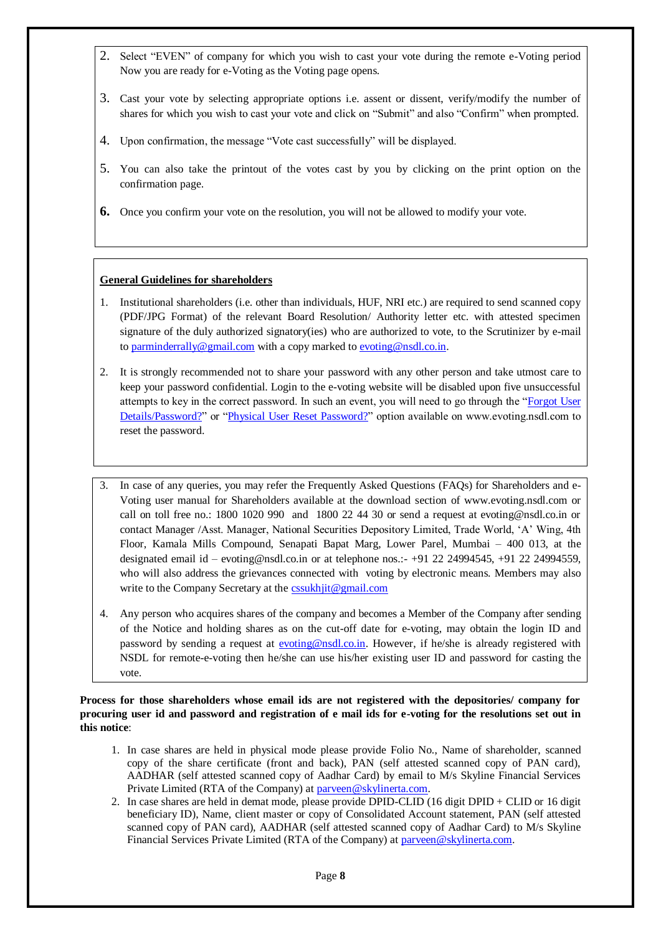- 2. Select "EVEN" of company for which you wish to cast your vote during the remote e-Voting period Now you are ready for e-Voting as the Voting page opens.
- 3. Cast your vote by selecting appropriate options i.e. assent or dissent, verify/modify the number of shares for which you wish to cast your vote and click on "Submit" and also "Confirm" when prompted.
- 4. Upon confirmation, the message "Vote cast successfully" will be displayed.
- 5. You can also take the printout of the votes cast by you by clicking on the print option on the confirmation page.
- **6.** Once you confirm your vote on the resolution, you will not be allowed to modify your vote.

# **General Guidelines for shareholders**

- 1. Institutional shareholders (i.e. other than individuals, HUF, NRI etc.) are required to send scanned copy (PDF/JPG Format) of the relevant Board Resolution/ Authority letter etc. with attested specimen signature of the duly authorized signatory(ies) who are authorized to vote, to the Scrutinizer by e-mail to [parminderrally@gmail.com](mailto:parminderrally@gmail.com) with a copy marked to [evoting@nsdl.co.in.](mailto:evoting@nsdl.co.in)
- 2. It is strongly recommended not to share your password with any other person and take utmost care to keep your password confidential. Login to the e-voting website will be disabled upon five unsuccessful attempts to key in the correct password. In such an event, you will need to go through the ["Forgot User](https://www.evoting.nsdl.com/eVotingWeb/commonhtmls/NewUser.jsp)  [Details/Password?"](https://www.evoting.nsdl.com/eVotingWeb/commonhtmls/NewUser.jsp) or ["Physical User Reset Password?"](https://www.evoting.nsdl.com/eVotingWeb/commonhtmls/PhysicalUser.jsp) option available on www.evoting.nsdl.com to reset the password.
- 3. In case of any queries, you may refer the Frequently Asked Questions (FAQs) for Shareholders and e-Voting user manual for Shareholders available at the download section of www.evoting.nsdl.com or call on toll free no.: 1800 1020 990 and 1800 22 44 30 or send a request at evoting@nsdl.co.in or contact Manager /Asst. Manager, National Securities Depository Limited, Trade World, 'A' Wing, 4th Floor, Kamala Mills Compound, Senapati Bapat Marg, Lower Parel, Mumbai – 400 013, at the designated email id – evoting@nsdl.co.in or at telephone nos.:- +91 22 24994545, +91 22 24994559, who will also address the grievances connected with voting by electronic means. Members may also write to the Company Secretary at the [cssukhjit@gmail.com](mailto:cssukhjit@gmail.com)
- 4. Any person who acquires shares of the company and becomes a Member of the Company after sending of the Notice and holding shares as on the cut-off date for e-voting, may obtain the login ID and password by sending a request at [evoting@nsdl.co.in.](mailto:evoting@nsdl.co.in) However, if he/she is already registered with NSDL for remote-e-voting then he/she can use his/her existing user ID and password for casting the vote.

# **Process for those shareholders whose email ids are not registered with the depositories/ company for procuring user id and password and registration of e mail ids for e-voting for the resolutions set out in this notice**:

- 1. In case shares are held in physical mode please provide Folio No., Name of shareholder, scanned copy of the share certificate (front and back), PAN (self attested scanned copy of PAN card), AADHAR (self attested scanned copy of Aadhar Card) by email to M/s Skyline Financial Services Private Limited (RTA of the Company) at [parveen@skylinerta.com.](mailto:parveen@skylinerta.com)
- 2. In case shares are held in demat mode, please provide DPID-CLID (16 digit DPID + CLID or 16 digit beneficiary ID), Name, client master or copy of Consolidated Account statement, PAN (self attested scanned copy of PAN card), AADHAR (self attested scanned copy of Aadhar Card) to M/s Skyline Financial Services Private Limited (RTA of the Company) at [parveen@skylinerta.com.](mailto:parveen@skylinerta.com)